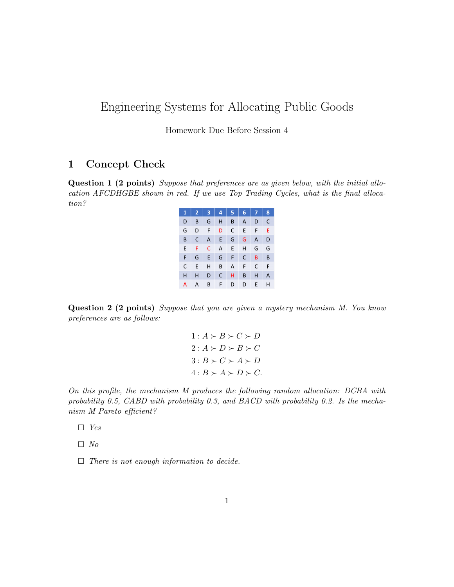## Engineering Systems for Allocating Public Goods

Homework Due Before Session 4

## 1 Concept Check

Question 1 (2 points) Suppose that preferences are as given below, with the initial allocation AFCDHGBE shown in red. If we use Top Trading Cycles, what is the final allocation?

| 1 | 2 | 3 | 4 | 5 | 6 | 7 | 8 |
|---|---|---|---|---|---|---|---|
| D | B | G | н | B | A | D | C |
| G | D | F | D | C | E | F | E |
| B | C | A | E | G | G | A | D |
| E | F | C | A | E | Н | G | G |
| F | G | E | G | F | C | B | B |
| C | E | Н | B | А | F | C | F |
| н | н | D | C | н | B | н | A |
| А | А | В | F | D | D | Е | н |

Question 2 (2 points) Suppose that you are given a mystery mechanism M. You know preferences are as follows:

> $1: A \succ B \succ C \succ D$  $2: A \succ D \succ B \succ C$  $3: B \succ C \succ A \succ D$  $4: B \succ A \succ D \succ C$ .

On this profile, the mechanism M produces the following random allocation: DCBA with probability 0.5, CABD with probability 0.3, and BACD with probability 0.2. Is the mechanism M Pareto efficient?

- $\Box$  Yes
- $\Box$  No
- $\Box$  There is not enough information to decide.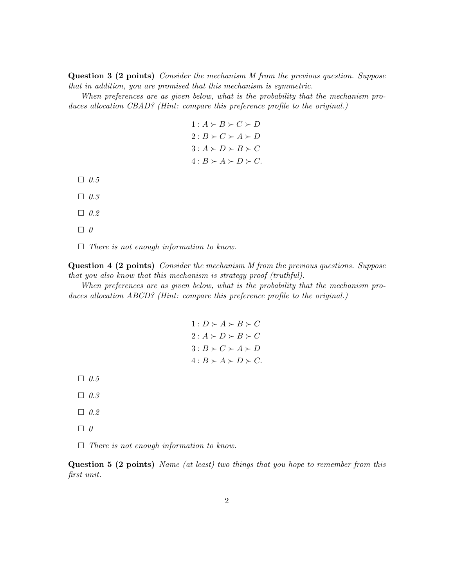Question 3 (2 points) Consider the mechanism M from the previous question. Suppose that in addition, you are promised that this mechanism is symmetric.

When preferences are as given below, what is the probability that the mechanism produces allocation CBAD? (Hint: compare this preference profile to the original.)

> $1: A \succ B \succ C \succ D$  $2: B \succ C \succ A \succ D$  $3: A \succ D \succ B \succ C$  $4: B \succ A \succ D \succ C$ .

- $\Box$  0.5
- $\Box$  0.3
- $\Box$  0.2
- $\Box$  0

 $\Box$  There is not enough information to know.

Question 4 (2 points) Consider the mechanism M from the previous questions. Suppose that you also know that this mechanism is strategy proof (truthful).

When preferences are as given below, what is the probability that the mechanism produces allocation ABCD? (Hint: compare this preference profile to the original.)

> $1: D \succ A \succ B \succ C$  $2: A \succ D \succ B \succ C$  $3: B \succ C \succ A \succ D$  $4: B \succ A \succ D \succ C$ .

- $\Box$  0.5
- $\Box$  0.3
- $\Box$  0.2
- $\Box$  0

 $\Box$  There is not enough information to know.

Question 5 (2 points) Name (at least) two things that you hope to remember from this first unit.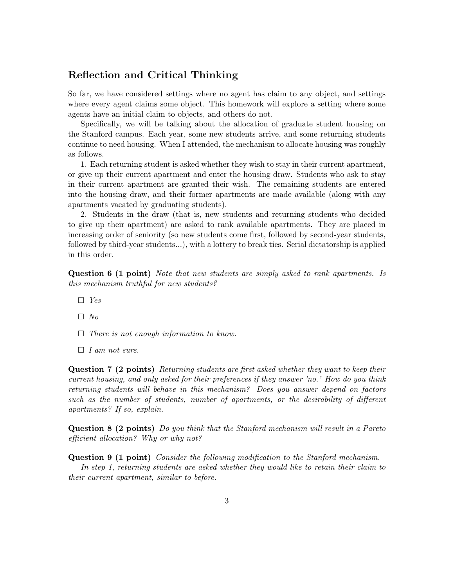## Reflection and Critical Thinking

So far, we have considered settings where no agent has claim to any object, and settings where every agent claims some object. This homework will explore a setting where some agents have an initial claim to objects, and others do not.

Specifically, we will be talking about the allocation of graduate student housing on the Stanford campus. Each year, some new students arrive, and some returning students continue to need housing. When I attended, the mechanism to allocate housing was roughly as follows.

1. Each returning student is asked whether they wish to stay in their current apartment, or give up their current apartment and enter the housing draw. Students who ask to stay in their current apartment are granted their wish. The remaining students are entered into the housing draw, and their former apartments are made available (along with any apartments vacated by graduating students).

2. Students in the draw (that is, new students and returning students who decided to give up their apartment) are asked to rank available apartments. They are placed in increasing order of seniority (so new students come first, followed by second-year students, followed by third-year students...), with a lottery to break ties. Serial dictatorship is applied in this order.

Question 6 (1 point) Note that new students are simply asked to rank apartments. Is this mechanism truthful for new students?

- $\Box$  Yes
- $\Box$  No
- $\Box$  There is not enough information to know.
- $\Box$  I am not sure.

Question 7 (2 points) Returning students are first asked whether they want to keep their current housing, and only asked for their preferences if they answer 'no.' How do you think returning students will behave in this mechanism? Does you answer depend on factors such as the number of students, number of apartments, or the desirability of different apartments? If so, explain.

Question 8 (2 points) Do you think that the Stanford mechanism will result in a Pareto efficient allocation? Why or why not?

Question 9 (1 point) Consider the following modification to the Stanford mechanism.

In step 1, returning students are asked whether they would like to retain their claim to their current apartment, similar to before.